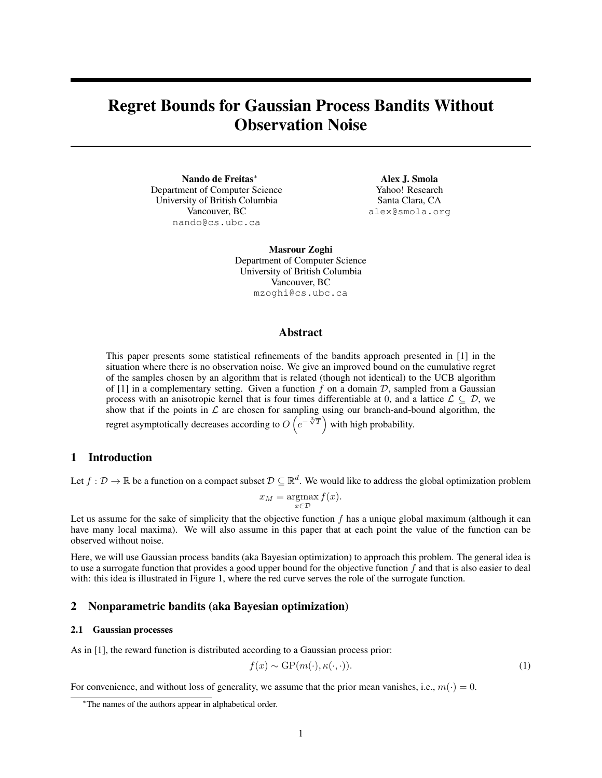# Regret Bounds for Gaussian Process Bandits Without Observation Noise

Nando de Freitas<sup>∗</sup> Department of Computer Science University of British Columbia Vancouver, BC nando@cs.ubc.ca

Alex J. Smola Yahoo! Research Santa Clara, CA alex@smola.org

Masrour Zoghi Department of Computer Science University of British Columbia Vancouver, BC mzoghi@cs.ubc.ca

## Abstract

This paper presents some statistical refinements of the bandits approach presented in [1] in the situation where there is no observation noise. We give an improved bound on the cumulative regret of the samples chosen by an algorithm that is related (though not identical) to the UCB algorithm of [1] in a complementary setting. Given a function f on a domain  $D$ , sampled from a Gaussian process with an anisotropic kernel that is four times differentiable at 0, and a lattice  $\mathcal{L} \subseteq \mathcal{D}$ , we show that if the points in  $\mathcal L$  are chosen for sampling using our branch-and-bound algorithm, the regret asymptotically decreases according to  $O(e^{-\sqrt[3]{T}})$  with high probability.

# 1 Introduction

Let  $f: \mathcal{D} \to \mathbb{R}$  be a function on a compact subset  $\mathcal{D} \subseteq \mathbb{R}^d$ . We would like to address the global optimization problem

$$
x_M = \operatorname*{argmax}_{x \in \mathcal{D}} f(x).
$$

Let us assume for the sake of simplicity that the objective function  $f$  has a unique global maximum (although it can have many local maxima). We will also assume in this paper that at each point the value of the function can be observed without noise.

Here, we will use Gaussian process bandits (aka Bayesian optimization) to approach this problem. The general idea is to use a surrogate function that provides a good upper bound for the objective function  $f$  and that is also easier to deal with: this idea is illustrated in Figure 1, where the red curve serves the role of the surrogate function.

## 2 Nonparametric bandits (aka Bayesian optimization)

#### 2.1 Gaussian processes

As in [1], the reward function is distributed according to a Gaussian process prior:

$$
f(x) \sim \text{GP}(m(\cdot), \kappa(\cdot, \cdot)).\tag{1}
$$

For convenience, and without loss of generality, we assume that the prior mean vanishes, i.e.,  $m(\cdot) = 0$ .

<sup>∗</sup>The names of the authors appear in alphabetical order.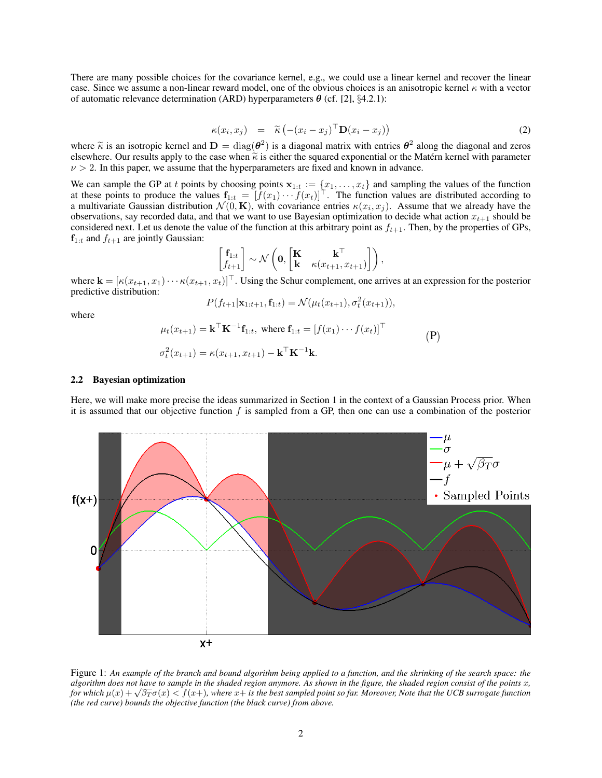There are many possible choices for the covariance kernel, e.g., we could use a linear kernel and recover the linear case. Since we assume a non-linear reward model, one of the obvious choices is an anisotropic kernel  $\kappa$  with a vector of automatic relevance determination (ARD) hyperparameters  $\boldsymbol{\theta}$  (cf. [2], §4.2.1):

$$
\kappa(x_i, x_j) = \widetilde{\kappa} \left( -(x_i - x_j)^{\top} \mathbf{D}(x_i - x_j) \right) \tag{2}
$$

where  $\tilde{\kappa}$  is an isotropic kernel and  $\mathbf{D} = \text{diag}(\theta^2)$  is a diagonal matrix with entries  $\theta^2$  along the diagonal and zeros elsewhere. Our results annly to the case when  $\tilde{\kappa}$  is either the squared exponentia elsewhere. Our results apply to the case when  $\tilde{\kappa}$  is either the squared exponential or the Matern kernel with parameter  $\nu > 2$ . In this paper, we assume that the hyperparameters are fixed and known in advance.

We can sample the GP at t points by choosing points  $x_{1:t} := \{x_1, \ldots, x_t\}$  and sampling the values of the function at these points to produce the values  $f_{1:t} = [f(x_1) \cdots f(x_t)]^T$ . The function values are distributed according to a multivariate Gaussian distribution  $\mathcal{N}(0, \mathbf{K})$ , with covariance entries  $\kappa(x_i, x_j)$ . Assume that we already have the observations, say recorded data, and that we want to use Bayesian optimization to decide what action  $x_{t+1}$  should be considered next. Let us denote the value of the function at this arbitrary point as  $f_{t+1}$ . Then, by the properties of GPs,  $f_{1:t}$  and  $f_{t+1}$  are jointly Gaussian:

$$
\begin{bmatrix} \mathbf{f}_{1:t} \\ f_{t+1} \end{bmatrix} \sim \mathcal{N}\left(\mathbf{0}, \begin{bmatrix} \mathbf{K} & \mathbf{k}^{\top} \\ \mathbf{k} & \kappa(x_{t+1}, x_{t+1}) \end{bmatrix}\right),
$$

where  $\mathbf{k} = [\kappa(x_{t+1}, x_1) \cdots \kappa(x_{t+1}, x_t)]^\top$ . Using the Schur complement, one arrives at an expression for the posterior predictive distribution:

$$
P(f_{t+1}|\mathbf{x}_{1:t+1}, \mathbf{f}_{1:t}) = \mathcal{N}(\mu_t(x_{t+1}), \sigma_t^2(x_{t+1})),
$$

where

$$
\mu_t(x_{t+1}) = \mathbf{k}^\top \mathbf{K}^{-1} \mathbf{f}_{1:t}, \text{ where } \mathbf{f}_{1:t} = [f(x_1) \cdots f(x_t)]^\top
$$
  
\n
$$
\sigma_t^2(x_{t+1}) = \kappa(x_{t+1}, x_{t+1}) - \mathbf{k}^\top \mathbf{K}^{-1} \mathbf{k}.
$$
 (P)

## 2.2 Bayesian optimization

Here, we will make more precise the ideas summarized in Section 1 in the context of a Gaussian Process prior. When it is assumed that our objective function  $f$  is sampled from a GP, then one can use a combination of the posterior



Figure 1: *An example of the branch and bound algorithm being applied to a function, and the shrinking of the search space: the algorithm does not have to sample in the shaded region anymore. As shown in the figure, the shaded region consist of the points* x*, for which* <sup>µ</sup>(x) + <sup>√</sup> β<sup>T</sup> σ(x) < f(x+)*, where* x+ *is the best sampled point so far. Moreover, Note that the UCB surrogate function (the red curve) bounds the objective function (the black curve) from above.*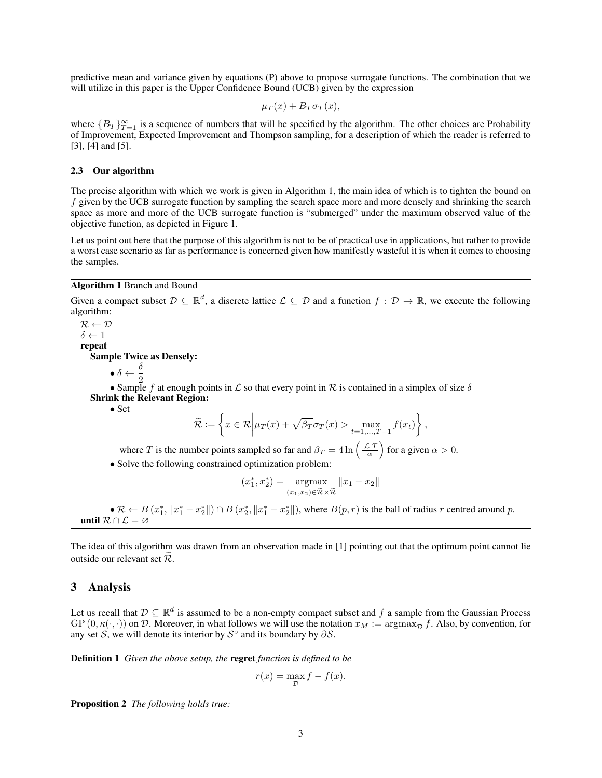predictive mean and variance given by equations (P) above to propose surrogate functions. The combination that we will utilize in this paper is the Upper Confidence Bound (UCB) given by the expression

$$
\mu_T(x) + B_T \sigma_T(x),
$$

where  ${B_T}_{T=1}^{\infty}$  is a sequence of numbers that will be specified by the algorithm. The other choices are Probability of Improvement, Expected Improvement and Thompson sampling, for a description of which the reader is referred to [3], [4] and [5].

#### 2.3 Our algorithm

The precise algorithm with which we work is given in Algorithm 1, the main idea of which is to tighten the bound on f given by the UCB surrogate function by sampling the search space more and more densely and shrinking the search space as more and more of the UCB surrogate function is "submerged" under the maximum observed value of the objective function, as depicted in Figure 1.

Let us point out here that the purpose of this algorithm is not to be of practical use in applications, but rather to provide a worst case scenario as far as performance is concerned given how manifestly wasteful it is when it comes to choosing the samples.

## Algorithm 1 Branch and Bound

Given a compact subset  $\mathcal{D} \subseteq \mathbb{R}^d$ , a discrete lattice  $\mathcal{L} \subseteq \mathcal{D}$  and a function  $f : \mathcal{D} \to \mathbb{R}$ , we execute the following algorithm:

 $R \leftarrow \mathcal{D}$  $\delta \leftarrow 1$ repeat Sample Twice as Densely:

 $\bullet \delta \leftarrow \frac{\delta}{\delta}$ 

2 • Sample f at enough points in L so that every point in R is contained in a simplex of size  $\delta$ Shrink the Relevant Region:

• Set

$$
\widetilde{\mathcal{R}} := \left\{ x \in \mathcal{R} \middle| \mu_T(x) + \sqrt{\beta_T} \sigma_T(x) > \max_{t=1,\dots,T-1} f(x_t) \right\},\
$$

where T is the number points sampled so far and  $\beta_T = 4 \ln \left( \frac{|L|T}{\alpha} \right)$  $\frac{\mathcal{L}|T}{\alpha}$  for a given  $\alpha > 0$ .

• Solve the following constrained optimization problem:

$$
(x_1^*, x_2^*) = \underset{(x_1, x_2) \in \widetilde{\mathcal{R}} \times \widetilde{\mathcal{R}}}{\text{argmax}} ||x_1 - x_2||
$$

•  $\mathcal{R} \leftarrow B(x_1^*, \|x_1^* - x_2^*\|) \cap B(x_2^*, \|x_1^* - x_2^*\|)$ , where  $B(p, r)$  is the ball of radius r centred around p. until  $\mathcal{R} \cap \mathcal{L} = \emptyset$ 

The idea of this algorithm was drawn from an observation made in [1] pointing out that the optimum point cannot lie outside our relevant set  $\mathcal{R}$ .

## 3 Analysis

Let us recall that  $D \subseteq \mathbb{R}^d$  is assumed to be a non-empty compact subset and f a sample from the Gaussian Process GP  $(0, \kappa(\cdot, \cdot))$  on D. Moreover, in what follows we will use the notation  $x_M := \argmax_D f$ . Also, by convention, for any set S, we will denote its interior by  $S^{\circ}$  and its boundary by  $\partial S$ .

Definition 1 *Given the above setup, the* regret *function is defined to be*

$$
r(x) = \max_{\mathcal{D}} f - f(x).
$$

Proposition 2 *The following holds true:*